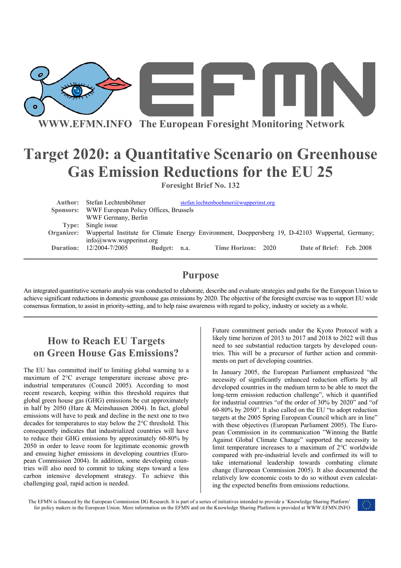

**WWW.EFMN.INFO The European Foresight Monitoring Network**

# **Target 2020: a Quantitative Scenario on Greenhouse Gas Emission Reductions for the EU 25**

**Foresight Brief No. 132** 

| Author: | Stefan Lechtenböhmer                                                                                        |              |  | stefan.lechtenboehmer@wupperinst.org |  |                          |  |
|---------|-------------------------------------------------------------------------------------------------------------|--------------|--|--------------------------------------|--|--------------------------|--|
|         | Sponsors: WWF European Policy Offices, Brussels                                                             |              |  |                                      |  |                          |  |
|         | WWF Germany, Berlin                                                                                         |              |  |                                      |  |                          |  |
| Type:   | Single issue                                                                                                |              |  |                                      |  |                          |  |
|         | Organizer: Wuppertal Institute for Climate Energy Environment, Doeppersberg 19, D-42103 Wuppertal, Germany; |              |  |                                      |  |                          |  |
|         | info@www.wupperinst.org                                                                                     |              |  |                                      |  |                          |  |
|         | <b>Duration:</b> 12/2004-7/2005                                                                             | Budget: n.a. |  | Time Horizon: 2020                   |  | Date of Brief: Feb. 2008 |  |

#### **Purpose**

An integrated quantitative scenario analysis was conducted to elaborate, describe and evaluate strategies and paths for the European Union to achieve significant reductions in domestic greenhouse gas emissions by 2020. The objective of the foresight exercise was to support EU wide consensus formation, to assist in priority-setting, and to help raise awareness with regard to policy, industry or society as a whole.

### **How to Reach EU Targets on Green House Gas Emissions?**

The EU has committed itself to limiting global warming to a maximum of 2°C average temperature increase above preindustrial temperatures (Council 2005). According to most recent research, keeping within this threshold requires that global green house gas (GHG) emissions be cut approximately in half by 2050 (Hare & Meinshausen 2004). In fact, global emissions will have to peak and decline in the next one to two decades for temperatures to stay below the 2°C threshold. This consequently indicates that industrialized countries will have to reduce their GHG emissions by approximately 60-80% by 2050 in order to leave room for legitimate economic growth and ensuing higher emissions in developing countries (European Commission 2004). In addition, some developing countries will also need to commit to taking steps toward a less carbon intensive development strategy. To achieve this challenging goal, rapid action is needed.

Future commitment periods under the Kyoto Protocol with a likely time horizon of 2013 to 2017 and 2018 to 2022 will thus need to see substantial reduction targets by developed countries. This will be a precursor of further action and commitments on part of developing countries.

In January 2005, the European Parliament emphasized "the necessity of significantly enhanced reduction efforts by all developed countries in the medium term to be able to meet the long-term emission reduction challenge", which it quantified for industrial countries "of the order of 30% by 2020" and "of 60-80% by 2050". It also called on the EU "to adopt reduction targets at the 2005 Spring European Council which are in line" with these objectives (European Parliament 2005). The European Commission in its communication "Winning the Battle Against Global Climate Change" supported the necessity to limit temperature increases to a maximum of 2°C worldwide compared with pre-industrial levels and confirmed its will to take international leadership towards combating climate change (European Commission 2005). It also documented the relatively low economic costs to do so without even calculating the expected benefits from emissions reductions.

The EFMN is financed by the European Commission DG Research. It is part of a series of initiatives intended to provide a 'Knowledge Sharing Platform' for policy makers in the European Union. More information on the EFMN and on the Knowledge Sharing Platform is provided at WWW.EFMN.INFO

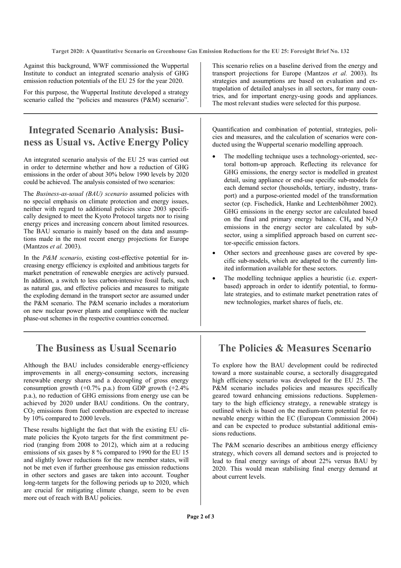**Target 2020: A Quantitative Scenario on Greenhouse Gas Emission Reductions for the EU 25: Foresight Brief No. 132** 

Against this background, WWF commissioned the Wuppertal Institute to conduct an integrated scenario analysis of GHG emission reduction potentials of the EU 25 for the year 2020.

For this purpose, the Wuppertal Institute developed a strategy scenario called the "policies and measures (P&M) scenario".

## **Integrated Scenario Analysis: Business as Usual vs. Active Energy Policy**

An integrated scenario analysis of the EU 25 was carried out in order to determine whether and how a reduction of GHG emissions in the order of about 30% below 1990 levels by 2020 could be achieved. The analysis consisted of two scenarios:

The *Business-as-usual (BAU) scenario* assumed policies with no special emphasis on climate protection and energy issues, neither with regard to additional policies since 2003 specifically designed to meet the Kyoto Protocol targets nor to rising energy prices and increasing concern about limited resources. The BAU scenario is mainly based on the data and assumptions made in the most recent energy projections for Europe (Mantzos *et al.* 2003).

In the *P&M scenario*, existing cost-effective potential for increasing energy efficiency is exploited and ambitious targets for market penetration of renewable energies are actively pursued. In addition, a switch to less carbon-intensive fossil fuels, such as natural gas, and effective policies and measures to mitigate the exploding demand in the transport sector are assumed under the P&M scenario. The P&M scenario includes a moratorium on new nuclear power plants and compliance with the nuclear phase-out schemes in the respective countries concerned.

### **The Business as Usual Scenario**

Although the BAU includes considerable energy-efficiency improvements in all energy-consuming sectors, increasing renewable energy shares and a decoupling of gross energy consumption growth  $(+0.7\%$  p.a.) from GDP growth  $(+2.4\%$ p.a.), no reduction of GHG emissions from energy use can be achieved by 2020 under BAU conditions. On the contrary,  $CO<sub>2</sub>$  emissions from fuel combustion are expected to increase by 10% compared to 2000 levels.

These results highlight the fact that with the existing EU climate policies the Kyoto targets for the first commitment period (ranging from 2008 to 2012), which aim at a reducing emissions of six gases by 8 % compared to 1990 for the EU 15 and slightly lower reductions for the new member states, will not be met even if further greenhouse gas emission reductions in other sectors and gases are taken into account. Tougher long-term targets for the following periods up to 2020, which are crucial for mitigating climate change, seem to be even more out of reach with BAU policies.

This scenario relies on a baseline derived from the energy and transport projections for Europe (Mantzos *et al.* 2003). Its strategies and assumptions are based on evaluation and extrapolation of detailed analyses in all sectors, for many countries, and for important energy-using goods and appliances. The most relevant studies were selected for this purpose.

Quantification and combination of potential, strategies, policies and measures, and the calculation of scenarios were conducted using the Wuppertal scenario modelling approach.

- The modelling technique uses a technology-oriented, sectoral bottom-up approach. Reflecting its relevance for GHG emissions, the energy sector is modelled in greatest detail, using appliance or end-use specific sub-models for each demand sector (households, tertiary, industry, transport) and a purpose-oriented model of the transformation sector (cp. Fischedick, Hanke and Lechtenböhmer 2002). GHG emissions in the energy sector are calculated based on the final and primary energy balance.  $CH<sub>4</sub>$  and  $N<sub>2</sub>O$ emissions in the energy sector are calculated by subsector, using a simplified approach based on current sector-specific emission factors.
- Other sectors and greenhouse gases are covered by specific sub-models, which are adapted to the currently limited information available for these sectors.
- The modelling technique applies a heuristic (i.e. expertbased) approach in order to identify potential, to formulate strategies, and to estimate market penetration rates of new technologies, market shares of fuels, etc.

### **The Policies & Measures Scenario**

To explore how the BAU development could be redirected toward a more sustainable course, a sectorally disaggregated high efficiency scenario was developed for the EU 25. The P&M scenario includes policies and measures specifically geared toward enhancing emissions reductions. Supplementary to the high efficiency strategy, a renewable strategy is outlined which is based on the medium-term potential for renewable energy within the EC (European Commission 2004) and can be expected to produce substantial additional emissions reductions.

The P&M scenario describes an ambitious energy efficiency strategy, which covers all demand sectors and is projected to lead to final energy savings of about 22% versus BAU by 2020. This would mean stabilising final energy demand at about current levels.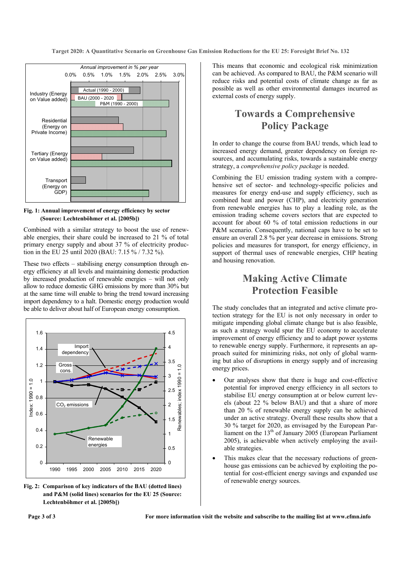**Target 2020: A Quantitative Scenario on Greenhouse Gas Emission Reductions for the EU 25: Foresight Brief No. 132** 



**Fig. 1: Annual improvement of energy efficiency by sector (Source: Lechtenböhmer et al. [2005b])** 

Combined with a similar strategy to boost the use of renewable energies, their share could be increased to 21 % of total primary energy supply and about 37 % of electricity production in the EU 25 until 2020 (BAU: 7.15 % / 7.32 %).

These two effects – stabilising energy consumption through energy efficiency at all levels and maintaining domestic production by increased production of renewable energies – will not only allow to reduce domestic GHG emissions by more than 30% but at the same time will enable to bring the trend toward increasing import dependency to a halt. Domestic energy production would be able to deliver about half of European energy consumption.



**Fig. 2: Comparison of key indicators of the BAU (dotted lines) and P&M (solid lines) scenarios for the EU 25 (Source: Lechtenböhmer et al. [2005b])** 

This means that economic and ecological risk minimization can be achieved. As compared to BAU, the P&M scenario will reduce risks and potential costs of climate change as far as possible as well as other environmental damages incurred as external costs of energy supply.

# **Towards a Comprehensive Policy Package**

In order to change the course from BAU trends, which lead to increased energy demand, greater dependency on foreign resources, and accumulating risks, towards a sustainable energy strategy, a *comprehensive policy package* is needed.

Combining the EU emission trading system with a comprehensive set of sector- and technology-specific policies and measures for energy end-use and supply efficiency, such as combined heat and power (CHP), and electricity generation from renewable energies has to play a leading role, as the emission trading scheme covers sectors that are expected to account for about 60 % of total emission reductions in our P&M scenario. Consequently, national caps have to be set to ensure an overall 2.8 % per year decrease in emissions. Strong policies and measures for transport, for energy efficiency, in support of thermal uses of renewable energies, CHP heating and housing renovation.

#### **Making Active Climate Protection Feasible**

The study concludes that an integrated and active climate protection strategy for the EU is not only necessary in order to mitigate impending global climate change but is also feasible, as such a strategy would spur the EU economy to accelerate improvement of energy efficiency and to adapt power systems to renewable energy supply. Furthermore, it represents an approach suited for minimizing risks, not only of global warming but also of disruptions in energy supply and of increasing energy prices.

- Our analyses show that there is huge and cost-effective potential for improved energy efficiency in all sectors to stabilise EU energy consumption at or below current levels (about 22 % below BAU) and that a share of more than 20 % of renewable energy supply can be achieved under an active strategy. Overall these results show that a 30 % target for 2020, as envisaged by the European Parliament on the  $13<sup>th</sup>$  of January 2005 (European Parliament 2005), is achievable when actively employing the available strategies.
- This makes clear that the necessary reductions of greenhouse gas emissions can be achieved by exploiting the potential for cost-efficient energy savings and expanded use of renewable energy sources.